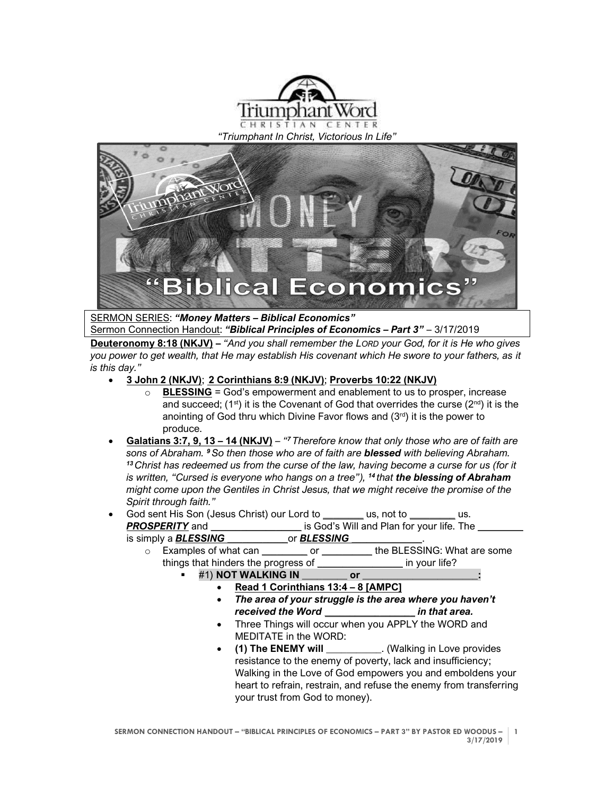

*"Triumphant In Christ, Victorious In Life"*



SERMON SERIES: *"Money Matters – Biblical Economics"*

Sermon Connection Handout: *"Biblical Principles of Economics – Part 3"* – 3/17/2019 **Deuteronomy 8:18 (NKJV) –** *"And you shall remember the LORD your God, for it is He who gives you power to get wealth, that He may establish His covenant which He swore to your fathers, as it is this day."*

- **3 John 2 (NKJV)**; **2 Corinthians 8:9 (NKJV)**; **Proverbs 10:22 (NKJV)**
	- o **BLESSING** = God's empowerment and enablement to us to prosper, increase and succeed;  $(1^{st})$  it is the Covenant of God that overrides the curse  $(2^{nd})$  it is the anointing of God thru which Divine Favor flows and  $(3<sup>rd</sup>)$  it is the power to produce.
- **Galatians 3:7, 9, 13 – 14 (NKJV)** *" <sup>7</sup> Therefore know that only those who are of faith are sons of Abraham. <sup>9</sup>So then those who are of faith are blessed with believing Abraham. <sup>13</sup> Christ has redeemed us from the curse of the law, having become a curse for us (for it is written, "Cursed is everyone who hangs on a tree"), <sup>14</sup> that the blessing of Abraham might come upon the Gentiles in Christ Jesus, that we might receive the promise of the Spirit through faith."*

## • God sent His Son (Jesus Christ) our Lord to *\_\_\_\_\_\_\_\_* us, not to *\_\_\_\_\_\_\_\_\_* us. *PROSPERITY* and *\_\_\_\_\_\_\_\_\_\_\_\_\_\_\_\_\_\_* is God's Will and Plan for your life. The *\_\_\_\_\_\_\_\_\_* is simply a *BLESSING \_\_\_\_\_\_\_\_\_\_\_\_*or *BLESSING \_\_\_\_\_\_\_\_\_\_\_\_\_\_*.

o Examples of what can *\_\_\_\_\_\_\_\_\_* or *\_\_\_\_\_\_\_\_\_\_* the BLESSING: What are some things that hinders the progress of *\_\_\_\_\_\_\_\_\_\_\_\_\_\_\_\_\_* in your life?

- #1) **NOT WALKING IN \_\_\_\_\_\_\_\_\_ or \_\_\_\_\_\_\_\_\_\_\_\_\_\_\_\_\_\_\_\_\_\_\_:**
	- **Read 1 Corinthians 13:4 – 8 [AMPC]**
	- *The area of your struggle is the area where you haven't received the Word \_\_\_\_\_\_\_\_\_\_\_\_\_\_\_\_\_\_ in that area.*
	- Three Things will occur when you APPLY the WORD and MEDITATE in the WORD:
	- **(1) The ENEMY will \_\_\_\_\_\_\_\_\_\_\_**. (Walking in Love provides resistance to the enemy of poverty, lack and insufficiency; Walking in the Love of God empowers you and emboldens your heart to refrain, restrain, and refuse the enemy from transferring your trust from God to money).